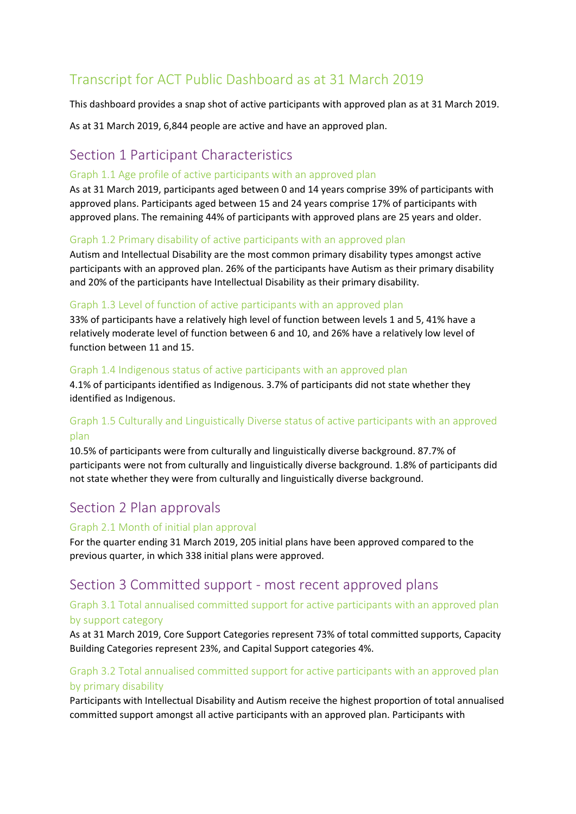# Transcript for ACT Public Dashboard as at 31 March 2019

This dashboard provides a snap shot of active participants with approved plan as at 31 March 2019.

As at 31 March 2019, 6,844 people are active and have an approved plan.

## Section 1 Participant Characteristics

#### Graph 1.1 Age profile of active participants with an approved plan

As at 31 March 2019, participants aged between 0 and 14 years comprise 39% of participants with approved plans. Participants aged between 15 and 24 years comprise 17% of participants with approved plans. The remaining 44% of participants with approved plans are 25 years and older.

#### Graph 1.2 Primary disability of active participants with an approved plan

Autism and Intellectual Disability are the most common primary disability types amongst active participants with an approved plan. 26% of the participants have Autism as their primary disability and 20% of the participants have Intellectual Disability as their primary disability.

#### Graph 1.3 Level of function of active participants with an approved plan

33% of participants have a relatively high level of function between levels 1 and 5, 41% have a relatively moderate level of function between 6 and 10, and 26% have a relatively low level of function between 11 and 15.

#### Graph 1.4 Indigenous status of active participants with an approved plan

4.1% of participants identified as Indigenous. 3.7% of participants did not state whether they identified as Indigenous.

## Graph 1.5 Culturally and Linguistically Diverse status of active participants with an approved plan

10.5% of participants were from culturally and linguistically diverse background. 87.7% of participants were not from culturally and linguistically diverse background. 1.8% of participants did not state whether they were from culturally and linguistically diverse background.

## Section 2 Plan approvals

#### Graph 2.1 Month of initial plan approval

For the quarter ending 31 March 2019, 205 initial plans have been approved compared to the previous quarter, in which 338 initial plans were approved.

## Section 3 Committed support - most recent approved plans

### Graph 3.1 Total annualised committed support for active participants with an approved plan by support category

As at 31 March 2019, Core Support Categories represent 73% of total committed supports, Capacity Building Categories represent 23%, and Capital Support categories 4%.

## Graph 3.2 Total annualised committed support for active participants with an approved plan by primary disability

Participants with Intellectual Disability and Autism receive the highest proportion of total annualised committed support amongst all active participants with an approved plan. Participants with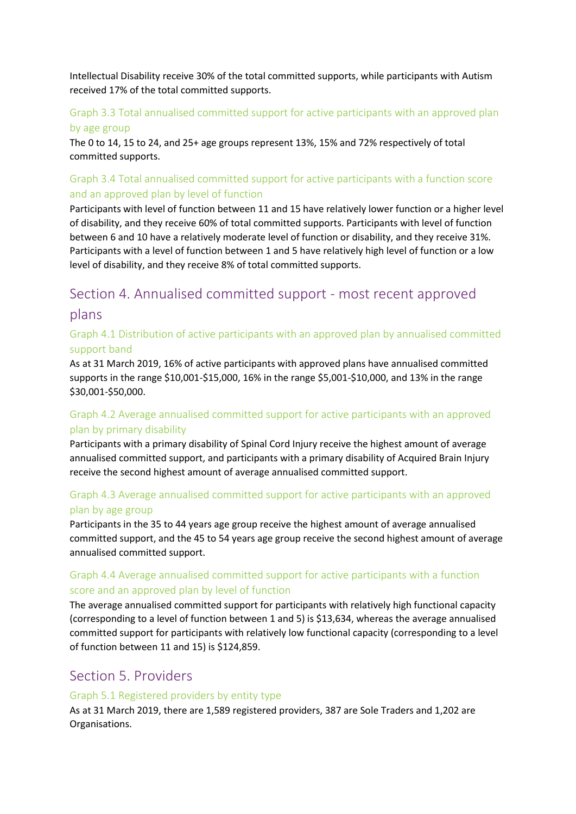Intellectual Disability receive 30% of the total committed supports, while participants with Autism received 17% of the total committed supports.

## Graph 3.3 Total annualised committed support for active participants with an approved plan by age group

The 0 to 14, 15 to 24, and 25+ age groups represent 13%, 15% and 72% respectively of total committed supports.

## Graph 3.4 Total annualised committed support for active participants with a function score and an approved plan by level of function

Participants with level of function between 11 and 15 have relatively lower function or a higher level of disability, and they receive 60% of total committed supports. Participants with level of function between 6 and 10 have a relatively moderate level of function or disability, and they receive 31%. Participants with a level of function between 1 and 5 have relatively high level of function or a low level of disability, and they receive 8% of total committed supports.

# Section 4. Annualised committed support - most recent approved plans

## Graph 4.1 Distribution of active participants with an approved plan by annualised committed support band

As at 31 March 2019, 16% of active participants with approved plans have annualised committed supports in the range \$10,001-\$15,000, 16% in the range \$5,001-\$10,000, and 13% in the range \$30,001-\$50,000.

## Graph 4.2 Average annualised committed support for active participants with an approved plan by primary disability

Participants with a primary disability of Spinal Cord Injury receive the highest amount of average annualised committed support, and participants with a primary disability of Acquired Brain Injury receive the second highest amount of average annualised committed support.

## Graph 4.3 Average annualised committed support for active participants with an approved plan by age group

Participants in the 35 to 44 years age group receive the highest amount of average annualised committed support, and the 45 to 54 years age group receive the second highest amount of average annualised committed support.

### Graph 4.4 Average annualised committed support for active participants with a function score and an approved plan by level of function

The average annualised committed support for participants with relatively high functional capacity (corresponding to a level of function between 1 and 5) is \$13,634, whereas the average annualised committed support for participants with relatively low functional capacity (corresponding to a level of function between 11 and 15) is \$124,859.

## Section 5. Providers

#### Graph 5.1 Registered providers by entity type

As at 31 March 2019, there are 1,589 registered providers, 387 are Sole Traders and 1,202 are Organisations.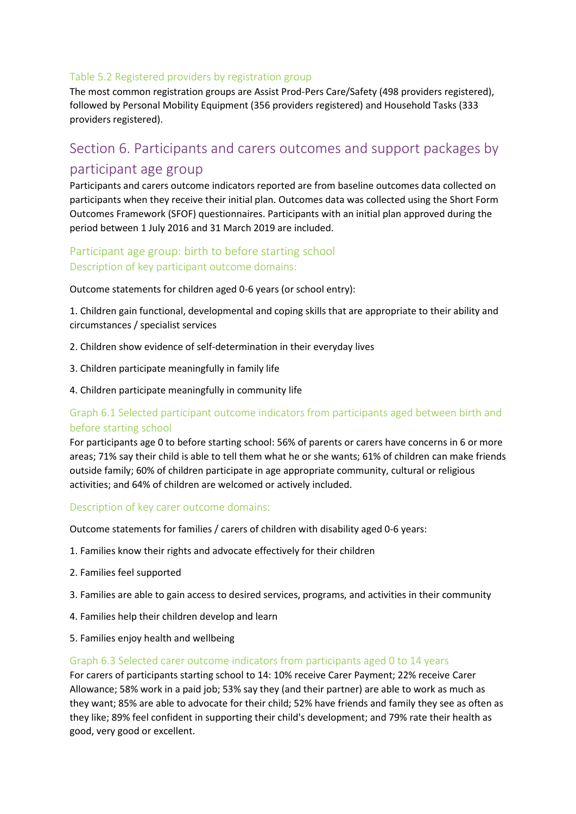#### Table 5.2 Registered providers by registration group

The most common registration groups are Assist Prod-Pers Care/Safety (498 providers registered), followed by Personal Mobility Equipment (356 providers registered) and Household Tasks (333 providers registered).

# Section 6. Participants and carers outcomes and support packages by participant age group

Participants and carers outcome indicators reported are from baseline outcomes data collected on participants when they receive their initial plan. Outcomes data was collected using the Short Form Outcomes Framework (SFOF) questionnaires. Participants with an initial plan approved during the period between 1 July 2016 and 31 March 2019 are included.

## Participant age group: birth to before starting school Description of key participant outcome domains:

Outcome statements for children aged 0-6 years (or school entry):

1. Children gain functional, developmental and coping skills that are appropriate to their ability and circumstances / specialist services

- 2. Children show evidence of self-determination in their everyday lives
- 3. Children participate meaningfully in family life
- 4. Children participate meaningfully in community life

## Graph 6.1 Selected participant outcome indicators from participants aged between birth and before starting school

For participants age 0 to before starting school: 56% of parents or carers have concerns in 6 or more areas; 71% say their child is able to tell them what he or she wants; 61% of children can make friends outside family; 60% of children participate in age appropriate community, cultural or religious activities; and 64% of children are welcomed or actively included.

#### Description of key carer outcome domains:

Outcome statements for families / carers of children with disability aged 0-6 years:

- 1. Families know their rights and advocate effectively for their children
- 2. Families feel supported
- 3. Families are able to gain access to desired services, programs, and activities in their community
- 4. Families help their children develop and learn
- 5. Families enjoy health and wellbeing

#### Graph 6.3 Selected carer outcome indicators from participants aged 0 to 14 years

For carers of participants starting school to 14: 10% receive Carer Payment; 22% receive Carer Allowance; 58% work in a paid job; 53% say they (and their partner) are able to work as much as they want; 85% are able to advocate for their child; 52% have friends and family they see as often as they like; 89% feel confident in supporting their child's development; and 79% rate their health as good, very good or excellent.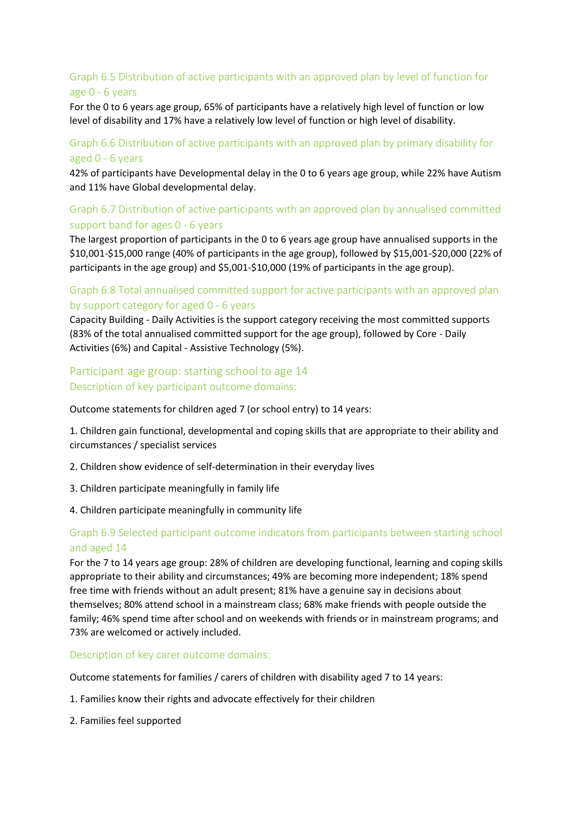## Graph 6.5 Distribution of active participants with an approved plan by level of function for age 0 - 6 years

For the 0 to 6 years age group, 65% of participants have a relatively high level of function or low level of disability and 17% have a relatively low level of function or high level of disability.

### Graph 6.6 Distribution of active participants with an approved plan by primary disability for aged 0 - 6 years

42% of participants have Developmental delay in the 0 to 6 years age group, while 22% have Autism and 11% have Global developmental delay.

## Graph 6.7 Distribution of active participants with an approved plan by annualised committed support band for ages 0 - 6 years

The largest proportion of participants in the 0 to 6 years age group have annualised supports in the \$10,001-\$15,000 range (40% of participants in the age group), followed by \$15,001-\$20,000 (22% of participants in the age group) and \$5,001-\$10,000 (19% of participants in the age group).

#### Graph 6.8 Total annualised committed support for active participants with an approved plan by support category for aged 0 - 6 years

Capacity Building - Daily Activities is the support category receiving the most committed supports (83% of the total annualised committed support for the age group), followed by Core - Daily Activities (6%) and Capital - Assistive Technology (5%).

## Participant age group: starting school to age 14 Description of key participant outcome domains:

Outcome statements for children aged 7 (or school entry) to 14 years:

1. Children gain functional, developmental and coping skills that are appropriate to their ability and circumstances / specialist services

- 2. Children show evidence of self-determination in their everyday lives
- 3. Children participate meaningfully in family life
- 4. Children participate meaningfully in community life

### Graph 6.9 Selected participant outcome indicators from participants between starting school and aged 14

For the 7 to 14 years age group: 28% of children are developing functional, learning and coping skills appropriate to their ability and circumstances; 49% are becoming more independent; 18% spend free time with friends without an adult present; 81% have a genuine say in decisions about themselves; 80% attend school in a mainstream class; 68% make friends with people outside the family; 46% spend time after school and on weekends with friends or in mainstream programs; and 73% are welcomed or actively included.

Description of key carer outcome domains:

Outcome statements for families / carers of children with disability aged 7 to 14 years:

- 1. Families know their rights and advocate effectively for their children
- 2. Families feel supported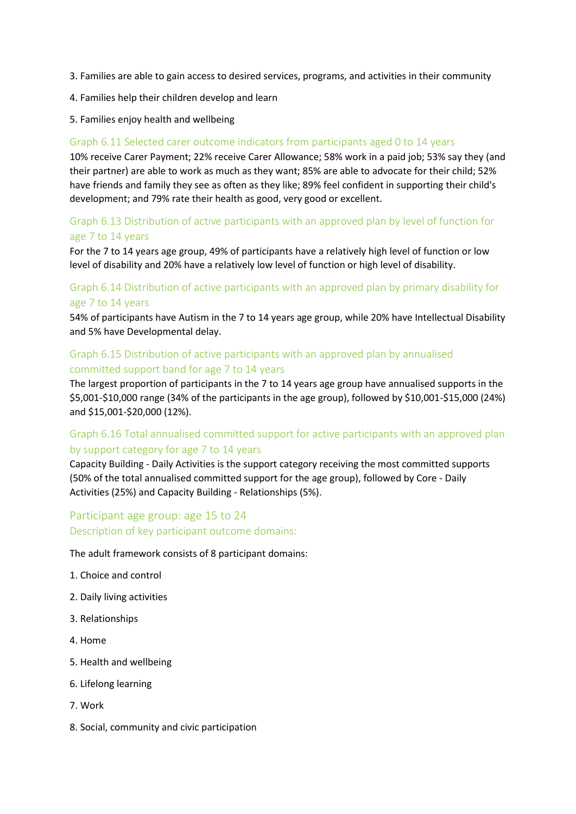- 3. Families are able to gain access to desired services, programs, and activities in their community
- 4. Families help their children develop and learn
- 5. Families enjoy health and wellbeing

#### Graph 6.11 Selected carer outcome indicators from participants aged 0 to 14 years

10% receive Carer Payment; 22% receive Carer Allowance; 58% work in a paid job; 53% say they (and their partner) are able to work as much as they want; 85% are able to advocate for their child; 52% have friends and family they see as often as they like; 89% feel confident in supporting their child's development; and 79% rate their health as good, very good or excellent.

#### Graph 6.13 Distribution of active participants with an approved plan by level of function for age 7 to 14 years

For the 7 to 14 years age group, 49% of participants have a relatively high level of function or low level of disability and 20% have a relatively low level of function or high level of disability.

## Graph 6.14 Distribution of active participants with an approved plan by primary disability for age 7 to 14 years

54% of participants have Autism in the 7 to 14 years age group, while 20% have Intellectual Disability and 5% have Developmental delay.

### Graph 6.15 Distribution of active participants with an approved plan by annualised committed support band for age 7 to 14 years

The largest proportion of participants in the 7 to 14 years age group have annualised supports in the \$5,001-\$10,000 range (34% of the participants in the age group), followed by \$10,001-\$15,000 (24%) and \$15,001-\$20,000 (12%).

## Graph 6.16 Total annualised committed support for active participants with an approved plan by support category for age 7 to 14 years

Capacity Building - Daily Activities is the support category receiving the most committed supports (50% of the total annualised committed support for the age group), followed by Core - Daily Activities (25%) and Capacity Building - Relationships (5%).

## Participant age group: age 15 to 24 Description of key participant outcome domains:

The adult framework consists of 8 participant domains:

- 1. Choice and control
- 2. Daily living activities
- 3. Relationships
- 4. Home
- 5. Health and wellbeing
- 6. Lifelong learning
- 7. Work
- 8. Social, community and civic participation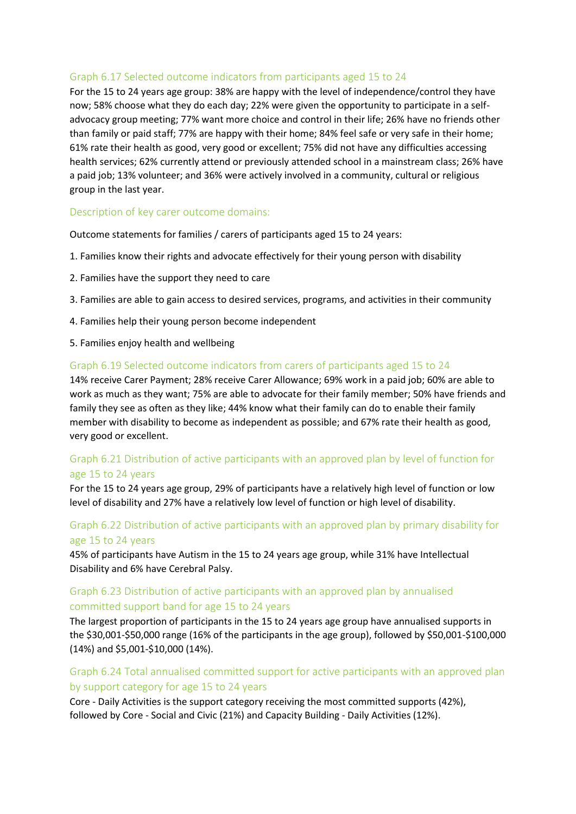#### Graph 6.17 Selected outcome indicators from participants aged 15 to 24

For the 15 to 24 years age group: 38% are happy with the level of independence/control they have now; 58% choose what they do each day; 22% were given the opportunity to participate in a selfadvocacy group meeting; 77% want more choice and control in their life; 26% have no friends other than family or paid staff; 77% are happy with their home; 84% feel safe or very safe in their home; 61% rate their health as good, very good or excellent; 75% did not have any difficulties accessing health services; 62% currently attend or previously attended school in a mainstream class; 26% have a paid job; 13% volunteer; and 36% were actively involved in a community, cultural or religious group in the last year.

#### Description of key carer outcome domains:

Outcome statements for families / carers of participants aged 15 to 24 years:

- 1. Families know their rights and advocate effectively for their young person with disability
- 2. Families have the support they need to care
- 3. Families are able to gain access to desired services, programs, and activities in their community
- 4. Families help their young person become independent
- 5. Families enjoy health and wellbeing

#### Graph 6.19 Selected outcome indicators from carers of participants aged 15 to 24

14% receive Carer Payment; 28% receive Carer Allowance; 69% work in a paid job; 60% are able to work as much as they want; 75% are able to advocate for their family member; 50% have friends and family they see as often as they like; 44% know what their family can do to enable their family member with disability to become as independent as possible; and 67% rate their health as good, very good or excellent.

### Graph 6.21 Distribution of active participants with an approved plan by level of function for age 15 to 24 years

For the 15 to 24 years age group, 29% of participants have a relatively high level of function or low level of disability and 27% have a relatively low level of function or high level of disability.

### Graph 6.22 Distribution of active participants with an approved plan by primary disability for age 15 to 24 years

45% of participants have Autism in the 15 to 24 years age group, while 31% have Intellectual Disability and 6% have Cerebral Palsy.

### Graph 6.23 Distribution of active participants with an approved plan by annualised committed support band for age 15 to 24 years

The largest proportion of participants in the 15 to 24 years age group have annualised supports in the \$30,001-\$50,000 range (16% of the participants in the age group), followed by \$50,001-\$100,000 (14%) and \$5,001-\$10,000 (14%).

### Graph 6.24 Total annualised committed support for active participants with an approved plan by support category for age 15 to 24 years

Core - Daily Activities is the support category receiving the most committed supports (42%), followed by Core - Social and Civic (21%) and Capacity Building - Daily Activities (12%).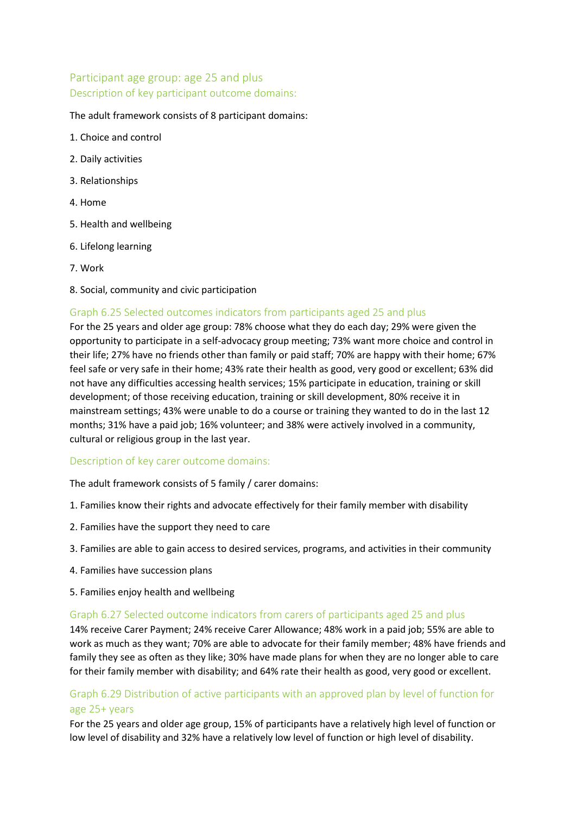## Participant age group: age 25 and plus Description of key participant outcome domains:

#### The adult framework consists of 8 participant domains:

- 1. Choice and control
- 2. Daily activities
- 3. Relationships
- 4. Home
- 5. Health and wellbeing
- 6. Lifelong learning
- 7. Work
- 8. Social, community and civic participation

#### Graph 6.25 Selected outcomes indicators from participants aged 25 and plus

For the 25 years and older age group: 78% choose what they do each day; 29% were given the opportunity to participate in a self-advocacy group meeting; 73% want more choice and control in their life; 27% have no friends other than family or paid staff; 70% are happy with their home; 67% feel safe or very safe in their home; 43% rate their health as good, very good or excellent; 63% did not have any difficulties accessing health services; 15% participate in education, training or skill development; of those receiving education, training or skill development, 80% receive it in mainstream settings; 43% were unable to do a course or training they wanted to do in the last 12 months; 31% have a paid job; 16% volunteer; and 38% were actively involved in a community, cultural or religious group in the last year.

#### Description of key carer outcome domains:

The adult framework consists of 5 family / carer domains:

- 1. Families know their rights and advocate effectively for their family member with disability
- 2. Families have the support they need to care
- 3. Families are able to gain access to desired services, programs, and activities in their community
- 4. Families have succession plans
- 5. Families enjoy health and wellbeing

#### Graph 6.27 Selected outcome indicators from carers of participants aged 25 and plus

14% receive Carer Payment; 24% receive Carer Allowance; 48% work in a paid job; 55% are able to work as much as they want; 70% are able to advocate for their family member; 48% have friends and family they see as often as they like; 30% have made plans for when they are no longer able to care for their family member with disability; and 64% rate their health as good, very good or excellent.

### Graph 6.29 Distribution of active participants with an approved plan by level of function for age 25+ years

For the 25 years and older age group, 15% of participants have a relatively high level of function or low level of disability and 32% have a relatively low level of function or high level of disability.